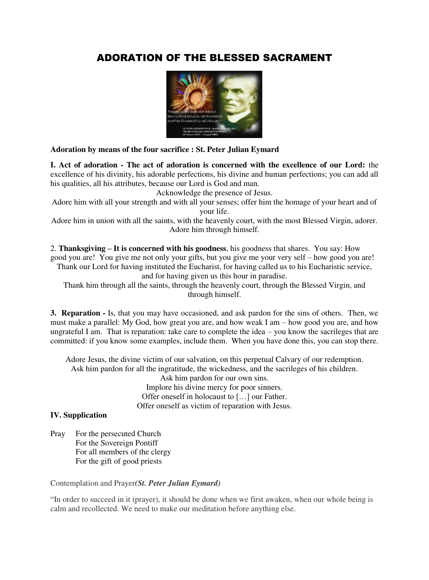# ADORATION OF THE BLESSED SACRAMENT



**Adoration by means of the four sacrifice : St. Peter Julian Eymard** 

**I. Act of adoration - The act of adoration is concerned with the excellence of our Lord:** the excellence of his divinity, his adorable perfections, his divine and human perfections; you can add all his qualities, all his attributes, because our Lord is God and man.

Acknowledge the presence of Jesus.

Adore him with all your strength and with all your senses; offer him the homage of your heart and of your life.

Adore him in union with all the saints, with the heavenly court, with the most Blessed Virgin, adorer. Adore him through himself.

2. **Thanksgiving – It is concerned with his goodness**, his goodness that shares. You say: How good you are! You give me not only your gifts, but you give me your very self – how good you are! Thank our Lord for having instituted the Eucharist, for having called us to his Eucharistic service, and for having given us this hour in paradise.

Thank him through all the saints, through the heavenly court, through the Blessed Virgin, and through himself.

**3. Reparation -** Is, that you may have occasioned, and ask pardon for the sins of others. Then, we must make a parallel: My God, how great you are, and how weak I am – how good you are, and how ungrateful I am. That is reparation: take care to complete the idea – you know the sacrileges that are committed: if you know some examples, include them. When you have done this, you can stop there.

Adore Jesus, the divine victim of our salvation, on this perpetual Calvary of our redemption. Ask him pardon for all the ingratitude, the wickedness, and the sacrileges of his children.

Ask him pardon for our own sins. Implore his divine mercy for poor sinners. Offer oneself in holocaust to […] our Father. Offer oneself as victim of reparation with Jesus.

## **IV. Supplication**

Pray For the persecuted Church For the Sovereign Pontiff For all members of the clergy For the gift of good priests

Contemplation and Prayer*(St. Peter Julian Eymard)*

"In order to succeed in it (prayer), it should be done when we first awaken, when our whole being is calm and recollected. We need to make our meditation before anything else.